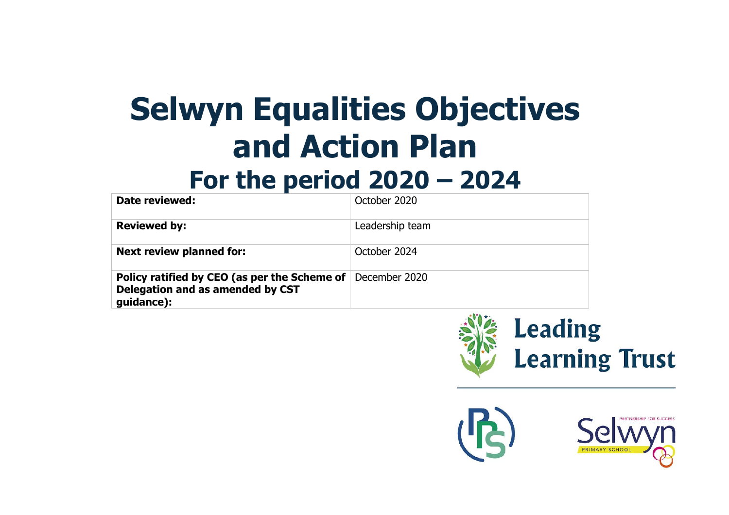## **Selwyn Equalities Objectives and Action Plan**

## **For the period 2020 – 2024**

| Date reviewed:                                                                                                      | October 2020    |
|---------------------------------------------------------------------------------------------------------------------|-----------------|
| <b>Reviewed by:</b>                                                                                                 | Leadership team |
| <b>Next review planned for:</b>                                                                                     | October 2024    |
| <b>Policy ratified by CEO (as per the Scheme of December 2020</b><br>Delegation and as amended by CST<br>guidance): |                 |



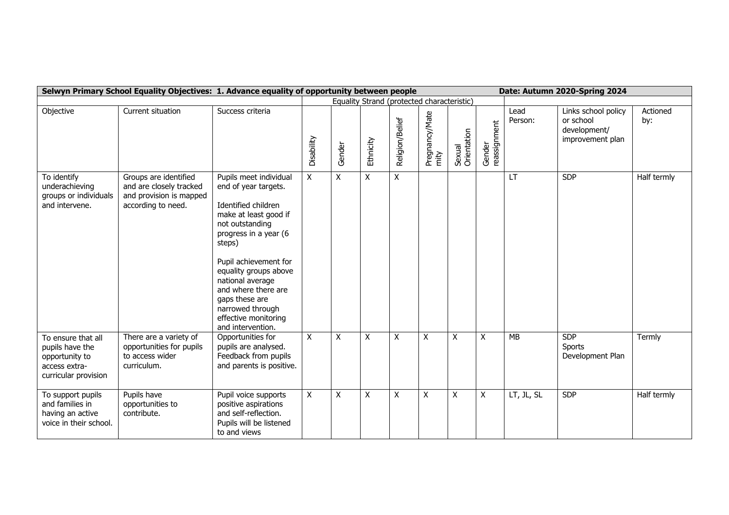|                                                                                                  | Selwyn Primary School Equality Objectives: 1. Advance equality of opportunity between people      |                                                                                                                                                                                                                                                                                                                                      |              |        |           |                                            |                         |                       |                        |                 | Date: Autumn 2020-Spring 2024                                        |                 |
|--------------------------------------------------------------------------------------------------|---------------------------------------------------------------------------------------------------|--------------------------------------------------------------------------------------------------------------------------------------------------------------------------------------------------------------------------------------------------------------------------------------------------------------------------------------|--------------|--------|-----------|--------------------------------------------|-------------------------|-----------------------|------------------------|-----------------|----------------------------------------------------------------------|-----------------|
|                                                                                                  |                                                                                                   |                                                                                                                                                                                                                                                                                                                                      |              |        |           | Equality Strand (protected characteristic) |                         |                       |                        |                 |                                                                      |                 |
| Objective                                                                                        | Current situation                                                                                 | Success criteria                                                                                                                                                                                                                                                                                                                     | Disability   | Gender | Ethnicity | Religion/Belief                            | Pregnancy/Mate<br>rnity | Sexual<br>Orientation | Gender<br>reassignment | Lead<br>Person: | Links school policy<br>or school<br>development/<br>improvement plan | Actioned<br>by: |
| To identify<br>underachieving<br>groups or individuals<br>and intervene.                         | Groups are identified<br>and are closely tracked<br>and provision is mapped<br>according to need. | Pupils meet individual<br>end of year targets.<br>Identified children<br>make at least good if<br>not outstanding<br>progress in a year (6<br>steps)<br>Pupil achievement for<br>equality groups above<br>national average<br>and where there are<br>gaps these are<br>narrowed through<br>effective monitoring<br>and intervention. | X            | X.     | X         | X                                          |                         |                       |                        | <b>LT</b>       | <b>SDP</b>                                                           | Half termly     |
| To ensure that all<br>pupils have the<br>opportunity to<br>access extra-<br>curricular provision | There are a variety of<br>opportunities for pupils<br>to access wider<br>curriculum.              | Opportunities for<br>pupils are analysed.<br>Feedback from pupils<br>and parents is positive.                                                                                                                                                                                                                                        | $\mathsf{X}$ | X      | X         | $\mathsf{X}$                               | $\pmb{\mathsf{X}}$      | X                     | X                      | <b>MB</b>       | <b>SDP</b><br><b>Sports</b><br>Development Plan                      | Termly          |
| To support pupils<br>and families in<br>having an active<br>voice in their school.               | Pupils have<br>opportunities to<br>contribute.                                                    | Pupil voice supports<br>positive aspirations<br>and self-reflection.<br>Pupils will be listened<br>to and views                                                                                                                                                                                                                      | X            | X      | Χ         | X                                          | X                       | X                     | X                      | LT, JL, SL      | <b>SDP</b>                                                           | Half termly     |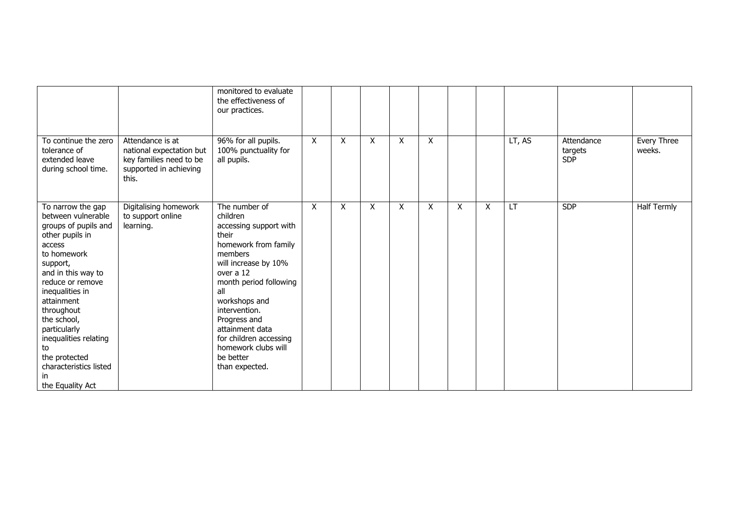|                                                                                                                                                                                                                                                                                                                                               |                                                                                                            | monitored to evaluate<br>the effectiveness of<br>our practices.                                                                                                                                                                                                                                                            |   |   |   |   |   |   |   |        |                                     |                       |
|-----------------------------------------------------------------------------------------------------------------------------------------------------------------------------------------------------------------------------------------------------------------------------------------------------------------------------------------------|------------------------------------------------------------------------------------------------------------|----------------------------------------------------------------------------------------------------------------------------------------------------------------------------------------------------------------------------------------------------------------------------------------------------------------------------|---|---|---|---|---|---|---|--------|-------------------------------------|-----------------------|
| To continue the zero<br>tolerance of<br>extended leave<br>during school time.                                                                                                                                                                                                                                                                 | Attendance is at<br>national expectation but<br>key families need to be<br>supported in achieving<br>this. | 96% for all pupils.<br>100% punctuality for<br>all pupils.                                                                                                                                                                                                                                                                 | X | X | X | X | X |   |   | LT, AS | Attendance<br>targets<br><b>SDP</b> | Every Three<br>weeks. |
| To narrow the gap<br>between vulnerable<br>groups of pupils and<br>other pupils in<br>access<br>to homework<br>support,<br>and in this way to<br>reduce or remove<br>inequalities in<br>attainment<br>throughout<br>the school,<br>particularly<br>inequalities relating<br>to<br>the protected<br>characteristics listed<br>the Equality Act | Digitalising homework<br>to support online<br>learning.                                                    | The number of<br>children<br>accessing support with<br>their<br>homework from family<br>members<br>will increase by 10%<br>over a 12<br>month period following<br>all<br>workshops and<br>intervention.<br>Progress and<br>attainment data<br>for children accessing<br>homework clubs will<br>be better<br>than expected. | X | X | X | X | X | X | X | LT     | <b>SDP</b>                          | <b>Half Termly</b>    |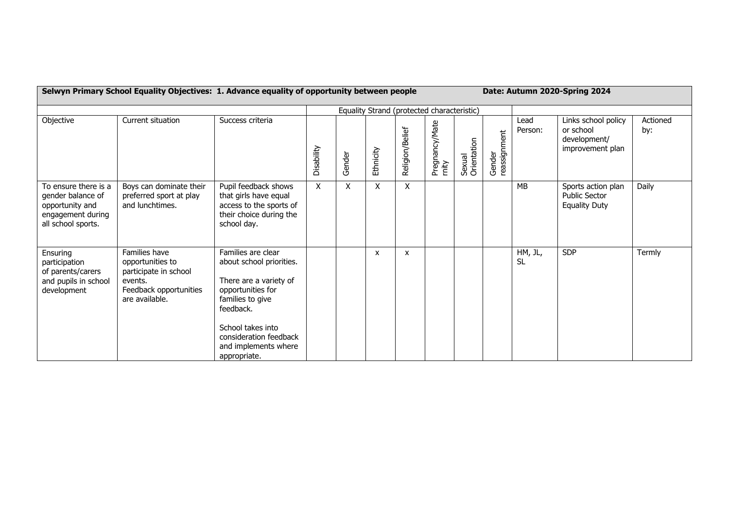## **Selwyn Primary School Equality Objectives: 1. Advance equality of opportunity between people Date: Autumn 2020-Spring 2024**

|                                                                                                         |                                                                                                                   |                                                                                                                                                                                                                       |                           |        |           | Equality Strand (protected characteristic) |                         |                       |                        |                      |                                                                      |                 |
|---------------------------------------------------------------------------------------------------------|-------------------------------------------------------------------------------------------------------------------|-----------------------------------------------------------------------------------------------------------------------------------------------------------------------------------------------------------------------|---------------------------|--------|-----------|--------------------------------------------|-------------------------|-----------------------|------------------------|----------------------|----------------------------------------------------------------------|-----------------|
| Objective                                                                                               | Current situation                                                                                                 | Success criteria                                                                                                                                                                                                      | Disability                | Gender | Ethnicity | Religion/Belief                            | Pregnancy/Mate<br>rnity | Sexual<br>Orientation | Gender<br>reassignment | Lead<br>Person:      | Links school policy<br>or school<br>development/<br>improvement plan | Actioned<br>by: |
| To ensure there is a<br>gender balance of<br>opportunity and<br>engagement during<br>all school sports. | Boys can dominate their<br>preferred sport at play<br>and lunchtimes.                                             | Pupil feedback shows<br>that girls have equal<br>access to the sports of<br>their choice during the<br>school day.                                                                                                    | $\boldsymbol{\mathsf{X}}$ | X      | X         | $\boldsymbol{\mathsf{X}}$                  |                         |                       |                        | <b>MB</b>            | Sports action plan<br><b>Public Sector</b><br><b>Equality Duty</b>   | Daily           |
| Ensuring<br>participation<br>of parents/carers<br>and pupils in school<br>development                   | Families have<br>opportunities to<br>participate in school<br>events.<br>Feedback opportunities<br>are available. | Families are clear<br>about school priorities.<br>There are a variety of<br>opportunities for<br>families to give<br>feedback.<br>School takes into<br>consideration feedback<br>and implements where<br>appropriate. |                           |        | X         | $\boldsymbol{\mathsf{x}}$                  |                         |                       |                        | HM, JL,<br><b>SL</b> | <b>SDP</b>                                                           | Termly          |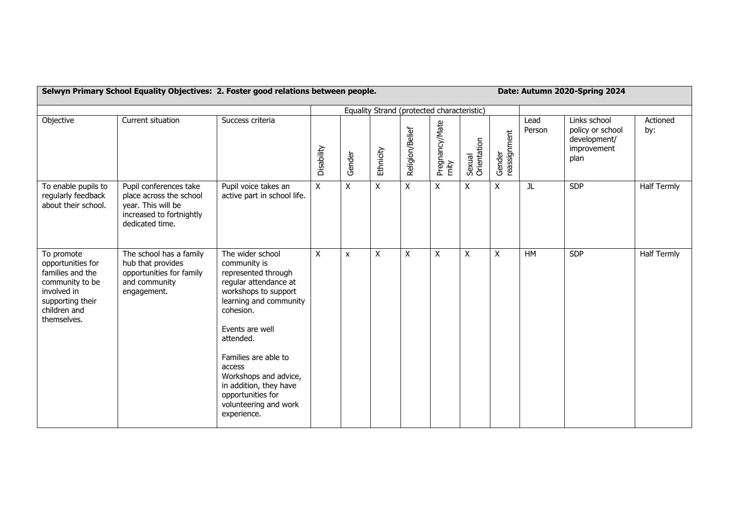|                                                                                                                                          | Selwyn Primary School Equality Objectives: 2. Foster good relations between people.                                    |                                                                                                                                                                                                                                                                                                                                   |            |        |                                            |                 |                         | Date: Autumn 2020-Spring 2024 |                        |                |                                                                         |                    |
|------------------------------------------------------------------------------------------------------------------------------------------|------------------------------------------------------------------------------------------------------------------------|-----------------------------------------------------------------------------------------------------------------------------------------------------------------------------------------------------------------------------------------------------------------------------------------------------------------------------------|------------|--------|--------------------------------------------|-----------------|-------------------------|-------------------------------|------------------------|----------------|-------------------------------------------------------------------------|--------------------|
|                                                                                                                                          |                                                                                                                        |                                                                                                                                                                                                                                                                                                                                   |            |        | Equality Strand (protected characteristic) |                 |                         |                               |                        |                |                                                                         |                    |
| Objective                                                                                                                                | Current situation                                                                                                      | Success criteria                                                                                                                                                                                                                                                                                                                  | Disability | Gender | Ethnicity                                  | Religion/Belief | Pregnancy/Mate<br>rnity | Sexual<br>Orientation         | Gender<br>reassignment | Lead<br>Person | Links school<br>policy or school<br>development/<br>improvement<br>plan | Actioned<br>by:    |
| To enable pupils to<br>regularly feedback<br>about their school.                                                                         | Pupil conferences take<br>place across the school<br>year. This will be<br>increased to fortnightly<br>dedicated time. | Pupil voice takes an<br>active part in school life.                                                                                                                                                                                                                                                                               | X          | X      | $\mathsf{X}$                               | $\mathsf{x}$    | X                       | X                             | X                      | JL             | <b>SDP</b>                                                              | <b>Half Termly</b> |
| To promote<br>opportunities for<br>families and the<br>community to be<br>involved in<br>supporting their<br>children and<br>themselves. | The school has a family<br>hub that provides<br>opportunities for family<br>and community<br>engagement.               | The wider school<br>community is<br>represented through<br>regular attendance at<br>workshops to support<br>learning and community<br>cohesion.<br>Events are well<br>attended.<br>Families are able to<br>access<br>Workshops and advice,<br>in addition, they have<br>opportunities for<br>volunteering and work<br>experience. | X          | X      | X                                          | X               | Χ                       | X                             | Χ                      | <b>HM</b>      | <b>SDP</b>                                                              | <b>Half Termly</b> |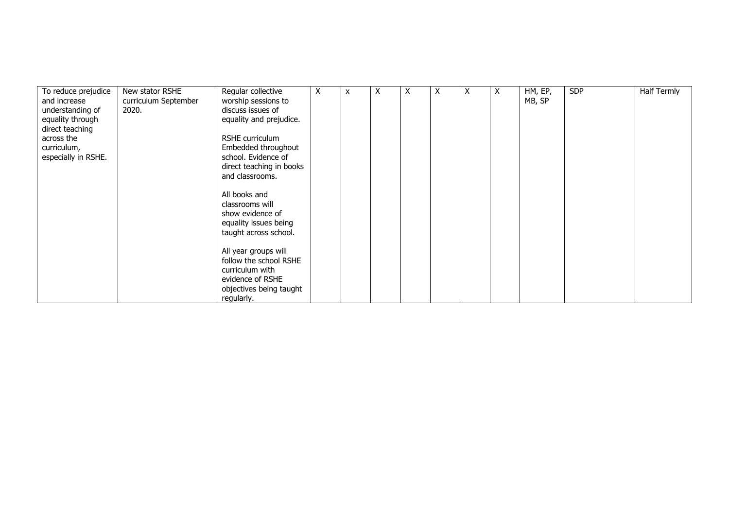| To reduce prejudice | New stator RSHE      | Regular collective       | X | X | X | X | X | Χ | X | HM, EP, | <b>SDP</b> | <b>Half Termly</b> |
|---------------------|----------------------|--------------------------|---|---|---|---|---|---|---|---------|------------|--------------------|
| and increase        | curriculum September | worship sessions to      |   |   |   |   |   |   |   | MB, SP  |            |                    |
| understanding of    | 2020.                | discuss issues of        |   |   |   |   |   |   |   |         |            |                    |
| equality through    |                      | equality and prejudice.  |   |   |   |   |   |   |   |         |            |                    |
| direct teaching     |                      |                          |   |   |   |   |   |   |   |         |            |                    |
| across the          |                      | RSHE curriculum          |   |   |   |   |   |   |   |         |            |                    |
| curriculum,         |                      | Embedded throughout      |   |   |   |   |   |   |   |         |            |                    |
| especially in RSHE. |                      | school. Evidence of      |   |   |   |   |   |   |   |         |            |                    |
|                     |                      | direct teaching in books |   |   |   |   |   |   |   |         |            |                    |
|                     |                      | and classrooms.          |   |   |   |   |   |   |   |         |            |                    |
|                     |                      |                          |   |   |   |   |   |   |   |         |            |                    |
|                     |                      | All books and            |   |   |   |   |   |   |   |         |            |                    |
|                     |                      | classrooms will          |   |   |   |   |   |   |   |         |            |                    |
|                     |                      | show evidence of         |   |   |   |   |   |   |   |         |            |                    |
|                     |                      | equality issues being    |   |   |   |   |   |   |   |         |            |                    |
|                     |                      | taught across school.    |   |   |   |   |   |   |   |         |            |                    |
|                     |                      | All year groups will     |   |   |   |   |   |   |   |         |            |                    |
|                     |                      | follow the school RSHE   |   |   |   |   |   |   |   |         |            |                    |
|                     |                      | curriculum with          |   |   |   |   |   |   |   |         |            |                    |
|                     |                      | evidence of RSHE         |   |   |   |   |   |   |   |         |            |                    |
|                     |                      | objectives being taught  |   |   |   |   |   |   |   |         |            |                    |
|                     |                      | regularly.               |   |   |   |   |   |   |   |         |            |                    |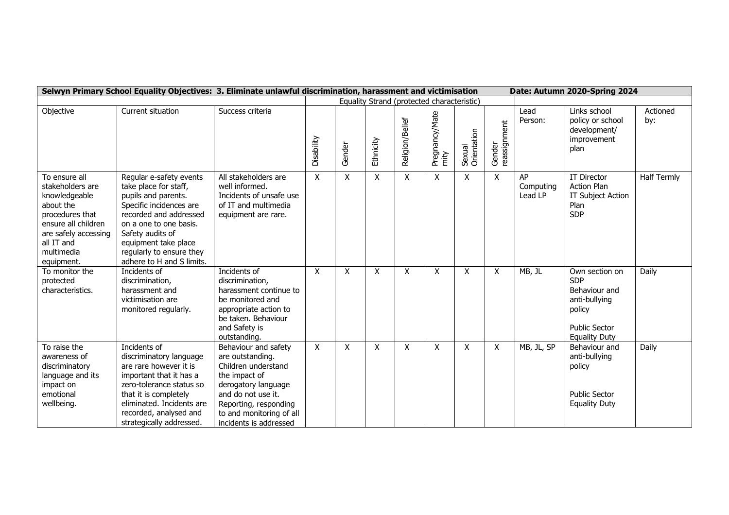|                                                                                                                                                                             | Selwyn Primary School Equality Objectives: 3. Eliminate unlawful discrimination, harassment and victimisation                                                                                                                                               |                                                                                                                                                                                                              |              |         |              |                                            |                           | Date: Autumn 2020-Spring 2024 |                        |                            |                                                                                                                          |                    |
|-----------------------------------------------------------------------------------------------------------------------------------------------------------------------------|-------------------------------------------------------------------------------------------------------------------------------------------------------------------------------------------------------------------------------------------------------------|--------------------------------------------------------------------------------------------------------------------------------------------------------------------------------------------------------------|--------------|---------|--------------|--------------------------------------------|---------------------------|-------------------------------|------------------------|----------------------------|--------------------------------------------------------------------------------------------------------------------------|--------------------|
|                                                                                                                                                                             |                                                                                                                                                                                                                                                             |                                                                                                                                                                                                              |              |         |              | Equality Strand (protected characteristic) |                           |                               |                        |                            |                                                                                                                          |                    |
| Objective                                                                                                                                                                   | Current situation                                                                                                                                                                                                                                           | Success criteria                                                                                                                                                                                             | Disability   | Gender  | Ethnicity    | Religion/Belief                            | Pregnancy/Mate<br>mity    | Sexual<br>Orientation         | Gender<br>reassignment | Lead<br>Person:            | Links school<br>policy or school<br>development/<br>improvement<br>plan                                                  | Actioned<br>by:    |
| To ensure all<br>stakeholders are<br>knowledgeable<br>about the<br>procedures that<br>ensure all children<br>are safely accessing<br>all IT and<br>multimedia<br>equipment. | Regular e-safety events<br>take place for staff,<br>pupils and parents.<br>Specific incidences are<br>recorded and addressed<br>on a one to one basis.<br>Safety audits of<br>equipment take place<br>regularly to ensure they<br>adhere to H and S limits. | All stakeholders are<br>well informed.<br>Incidents of unsafe use<br>of IT and multimedia<br>equipment are rare.                                                                                             | $\mathsf{X}$ | X       | $\mathsf{X}$ | $\boldsymbol{\mathsf{X}}$                  | $\mathsf{X}$              | X                             | $\mathsf{X}$           | AP<br>Computing<br>Lead LP | <b>IT Director</b><br><b>Action Plan</b><br>IT Subject Action<br>Plan<br><b>SDP</b>                                      | <b>Half Termly</b> |
| To monitor the<br>protected<br>characteristics.                                                                                                                             | Incidents of<br>discrimination,<br>harassment and<br>victimisation are<br>monitored regularly.                                                                                                                                                              | Incidents of<br>discrimination,<br>harassment continue to<br>be monitored and<br>appropriate action to<br>be taken. Behaviour<br>and Safety is<br>outstanding.                                               | X            | X       | $\times$     | $\boldsymbol{\mathsf{X}}$                  | $\times$                  | X                             | X                      | MB, JL                     | Own section on<br><b>SDP</b><br>Behaviour and<br>anti-bullying<br>policy<br><b>Public Sector</b><br><b>Equality Duty</b> | Daily              |
| To raise the<br>awareness of<br>discriminatory<br>language and its<br>impact on<br>emotional<br>wellbeing.                                                                  | Incidents of<br>discriminatory language<br>are rare however it is<br>important that it has a<br>zero-tolerance status so<br>that it is completely<br>eliminated. Incidents are<br>recorded, analysed and<br>strategically addressed.                        | Behaviour and safety<br>are outstanding.<br>Children understand<br>the impact of<br>derogatory language<br>and do not use it.<br>Reporting, responding<br>to and monitoring of all<br>incidents is addressed | $\mathsf{X}$ | $\sf X$ | X            | X                                          | $\boldsymbol{\mathsf{X}}$ | X                             | X                      | MB, JL, SP                 | Behaviour and<br>anti-bullying<br>policy<br><b>Public Sector</b><br><b>Equality Duty</b>                                 | Daily              |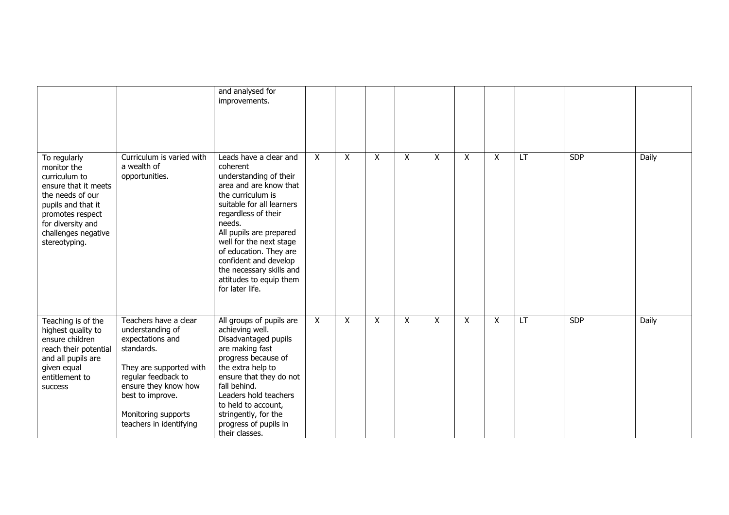|                                                                                                                                                                                                 |                                                                                                                                                                                                                             | and analysed for<br>improvements.                                                                                                                                                                                                                                                                                                                            |   |              |   |                           |   |   |              |    |            |       |
|-------------------------------------------------------------------------------------------------------------------------------------------------------------------------------------------------|-----------------------------------------------------------------------------------------------------------------------------------------------------------------------------------------------------------------------------|--------------------------------------------------------------------------------------------------------------------------------------------------------------------------------------------------------------------------------------------------------------------------------------------------------------------------------------------------------------|---|--------------|---|---------------------------|---|---|--------------|----|------------|-------|
| To regularly<br>monitor the<br>curriculum to<br>ensure that it meets<br>the needs of our<br>pupils and that it<br>promotes respect<br>for diversity and<br>challenges negative<br>stereotyping. | Curriculum is varied with<br>a wealth of<br>opportunities.                                                                                                                                                                  | Leads have a clear and<br>coherent<br>understanding of their<br>area and are know that<br>the curriculum is<br>suitable for all learners<br>regardless of their<br>needs.<br>All pupils are prepared<br>well for the next stage<br>of education. They are<br>confident and develop<br>the necessary skills and<br>attitudes to equip them<br>for later life. | X | $\mathsf{X}$ | X | $\mathsf{X}$              | X | X | $\mathsf{X}$ | LT | <b>SDP</b> | Daily |
| Teaching is of the<br>highest quality to<br>ensure children<br>reach their potential<br>and all pupils are<br>given equal<br>entitlement to<br>success                                          | Teachers have a clear<br>understanding of<br>expectations and<br>standards.<br>They are supported with<br>regular feedback to<br>ensure they know how<br>best to improve.<br>Monitoring supports<br>teachers in identifying | All groups of pupils are<br>achieving well.<br>Disadvantaged pupils<br>are making fast<br>progress because of<br>the extra help to<br>ensure that they do not<br>fall behind.<br>Leaders hold teachers<br>to held to account,<br>stringently, for the<br>progress of pupils in<br>their classes.                                                             | X | $\sf X$      | X | $\boldsymbol{\mathsf{X}}$ | X | X | X            | LT | <b>SDP</b> | Daily |